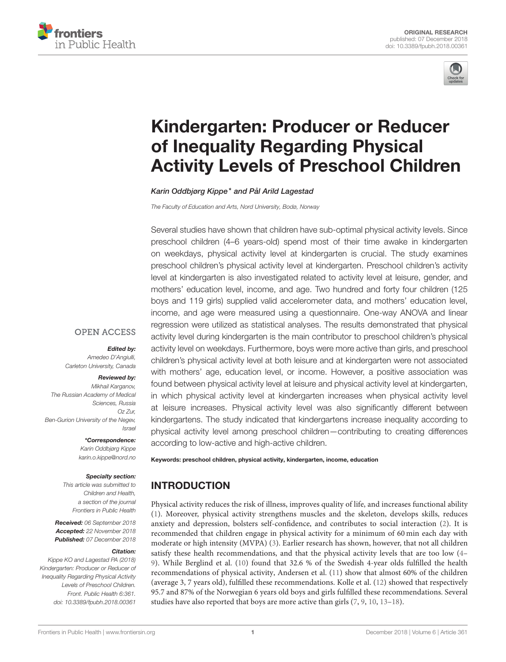



# Kindergarten: Producer or Reducer of Inequality Regarding Physical [Activity Levels of Preschool Children](https://www.frontiersin.org/articles/10.3389/fpubh.2018.00361/full)

[Karin Oddbjørg Kippe\\*](http://loop.frontiersin.org/people/467608/overview) and [Pål Arild Lagestad](http://loop.frontiersin.org/people/453173/overview)

*The Faculty of Education and Arts, Nord University, Bodø, Norway*

Several studies have shown that children have sub-optimal physical activity levels. Since preschool children (4–6 years-old) spend most of their time awake in kindergarten on weekdays, physical activity level at kindergarten is crucial. The study examines preschool children's physical activity level at kindergarten. Preschool children's activity level at kindergarten is also investigated related to activity level at leisure, gender, and mothers' education level, income, and age. Two hundred and forty four children (125 boys and 119 girls) supplied valid accelerometer data, and mothers' education level, income, and age were measured using a questionnaire. One-way ANOVA and linear regression were utilized as statistical analyses. The results demonstrated that physical activity level during kindergarten is the main contributor to preschool children's physical activity level on weekdays. Furthermore, boys were more active than girls, and preschool children's physical activity level at both leisure and at kindergarten were not associated with mothers' age, education level, or income. However, a positive association was found between physical activity level at leisure and physical activity level at kindergarten, in which physical activity level at kindergarten increases when physical activity level at leisure increases. Physical activity level was also significantly different between kindergartens. The study indicated that kindergartens increase inequality according to physical activity level among preschool children—contributing to creating differences according to low-active and high-active children.

Keywords: preschool children, physical activity, kindergarten, income, education

# INTRODUCTION

Physical activity reduces the risk of illness, improves quality of life, and increases functional ability [\(1\)](#page-6-0). Moreover, physical activity strengthens muscles and the skeleton, develops skills, reduces anxiety and depression, bolsters self-confidence, and contributes to social interaction [\(2\)](#page-6-1). It is recommended that children engage in physical activity for a minimum of 60 min each day with moderate or high intensity (MVPA) [\(3\)](#page-6-2). Earlier research has shown, however, that not all children satisfy these health recommendations, and that the physical activity levels that are too low [\(4–](#page-7-0) [9\)](#page-7-1). While Berglind et al. [\(10\)](#page-7-2) found that 32.6 % of the Swedish 4-year olds fulfilled the health recommendations of physical activity, Andersen et al. [\(11\)](#page-7-3) show that almost 60% of the children (average 3, 7 years old), fulfilled these recommendations. Kolle et al. [\(12\)](#page-7-4) showed that respectively 95.7 and 87% of the Norwegian 6 years old boys and girls fulfilled these recommendations. Several studies have also reported that boys are more active than girls [\(7,](#page-7-5) [9,](#page-7-1) [10,](#page-7-2) [13](#page-7-6)[–18\)](#page-7-7).

**OPEN ACCESS** 

#### Edited by:

*Amedeo D'Angiulli, Carleton University, Canada*

### Reviewed by:

*Mikhail Karganov, The Russian Academy of Medical Sciences, Russia Oz Zur, Ben-Gurion University of the Negev, Israel*

> \*Correspondence: *Karin Oddbjørg Kippe [karin.o.kippe@nord.no](mailto:karin.o.kippe@nord.no)*

#### Specialty section:

*This article was submitted to Children and Health, a section of the journal Frontiers in Public Health*

Received: *06 September 2018* Accepted: *22 November 2018* Published: *07 December 2018*

#### Citation:

*Kippe KO and Lagestad PA (2018) Kindergarten: Producer or Reducer of Inequality Regarding Physical Activity Levels of Preschool Children. Front. Public Health 6:361. doi: [10.3389/fpubh.2018.00361](https://doi.org/10.3389/fpubh.2018.00361)*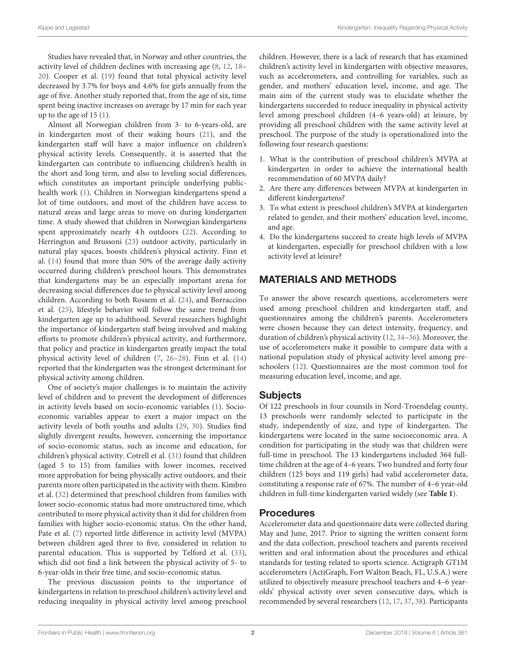Studies have revealed that, in Norway and other countries, the activity level of children declines with increasing age [\(8,](#page-7-8) [12,](#page-7-4) [18–](#page-7-7) [20\)](#page-7-9). Cooper et al. [\(19\)](#page-7-10) found that total physical activity level decreased by 3.7% for boys and 4.6% for girls annually from the age of five. Another study reported that, from the age of six, time spent being inactive increases on average by 17 min for each year up to the age of 15 [\(1\)](#page-6-0).

Almost all Norwegian children from 3- to 6-years-old, are in kindergarten most of their waking hours [\(21\)](#page-7-11), and the kindergarten staff will have a major influence on children's physical activity levels. Consequently, it is asserted that the kindergarten can contribute to influencing children's health in the short and long term, and also to leveling social differences, which constitutes an important principle underlying publichealth work [\(1\)](#page-6-0). Children in Norwegian kindergartens spend a lot of time outdoors, and most of the children have access to natural areas and large areas to move on during kindergarten time. A study showed that children in Norwegian kindergartens spent approximately nearly 4h outdoors [\(22\)](#page-7-12). According to Herrington and Brussoni [\(23\)](#page-7-13) outdoor activity, particularly in natural play spaces, boosts children's physical activity. Finn et al. [\(14\)](#page-7-14) found that more than 50% of the average daily activity occurred during children's preschool hours. This demonstrates that kindergartens may be an especially important arena for decreasing social differences due to physical activity level among children. According to both Rossem et al. [\(24\)](#page-7-15), and Borraccino et al. [\(25\)](#page-7-16), lifestyle behavior will follow the same trend from kindergarten age up to adulthood. Several researchers highlight the importance of kindergarten staff being involved and making efforts to promote children's physical activity, and furthermore, that policy and practice in kindergarten greatly impact the total physical activity level of children [\(7,](#page-7-5) [26–](#page-7-17)[28\)](#page-7-18). Finn et al. [\(14\)](#page-7-14) reported that the kindergarten was the strongest determinant for physical activity among children.

One of society's major challenges is to maintain the activity level of children and to prevent the development of differences in activity levels based on socio-economic variables [\(1\)](#page-6-0). Socioeconomic variables appear to exert a major impact on the activity levels of both youths and adults [\(29,](#page-7-19) [30\)](#page-7-20). Studies find slightly divergent results, however, concerning the importance of socio-economic status, such as income and education, for children's physical activity. Cotrell et al. [\(31\)](#page-7-21) found that children (aged 5 to 15) from families with lower incomes, received more approbation for being physically active outdoors, and their parents more often participated in the activity with them. Kimbro et al. [\(32\)](#page-7-22) determined that preschool children from families with lower socio-economic status had more unstructured time, which contributed to more physical activity than it did for children from families with higher socio-economic status. On the other hand, Pate et al. [\(7\)](#page-7-5) reported little difference in activity level (MVPA) between children aged three to five, considered in relation to parental education. This is supported by Telford et al. [\(33\)](#page-7-23), which did not find a link between the physical activity of 5- to 6-year-olds in their free time, and socio-economic status.

The previous discussion points to the importance of kindergartens in relation to preschool children's activity level and reducing inequality in physical activity level among preschool children. However, there is a lack of research that has examined children's activity level in kindergarten with objective measures, such as accelerometers, and controlling for variables, such as gender, and mothers' education level, income, and age. The main aim of the current study was to elucidate whether the kindergartens succeeded to reduce inequality in physical activity level among preschool children (4–6 years-old) at leisure, by providing all preschool children with the same activity level at preschool. The purpose of the study is operationalized into the following four research questions:

- 1. What is the contribution of preschool children's MVPA at kindergarten in order to achieve the international health recommendation of 60 MVPA daily?
- 2. Are there any differences between MVPA at kindergarten in different kindergartens?
- 3. To what extent is preschool children's MVPA at kindergarten related to gender, and their mothers' education level, income, and age.
- 4. Do the kindergartens succeed to create high levels of MVPA at kindergarten, especially for preschool children with a low activity level at leisure?

## MATERIALS AND METHODS

To answer the above research questions, accelerometers were used among preschool children and kindergarten staff, and questionnaires among the children's parents. Accelerometers were chosen because they can detect intensity, frequency, and duration of children's physical activity [\(12,](#page-7-4) [34](#page-7-24)[–36\)](#page-7-25). Moreover, the use of accelerometers make it possible to compare data with a national population study of physical activity level among preschoolers [\(12\)](#page-7-4). Questionnaires are the most common tool for measuring education level, income, and age.

## Subjects

Of 122 preschools in four counsils in Nord-Troendelag county, 13 preschools were randomly selected to participate in the study, independently of size, and type of kindergarten. The kindergartens were located in the same socioeconomic area. A condition for participating in the study was that children were full-time in preschool. The 13 kindergartens included 364 fulltime children at the age of 4–6 years. Two hundred and forty four children (125 boys and 119 girls) had valid accelerometer data, constituting a response rate of 67%. The number of 4–6 year-old children in full-time kindergarten varied widely (see **[Table 1](#page-2-0)**).

#### Procedures

Accelerometer data and questionnaire data were collected during May and June, 2017. Prior to signing the written consent form and the data collection, preschool teachers and parents received written and oral information about the procedures and ethical standards for testing related to sports science. Actigraph GT1M accelerometers (ActiGraph, Fort Walton Beach, FL, U.S.A.) were utilized to objectively measure preschool teachers and 4–6 yearolds' physical activity over seven consecutive days, which is recommended by several researchers [\(12,](#page-7-4) [17,](#page-7-26) [37,](#page-7-27) [38\)](#page-7-28). Participants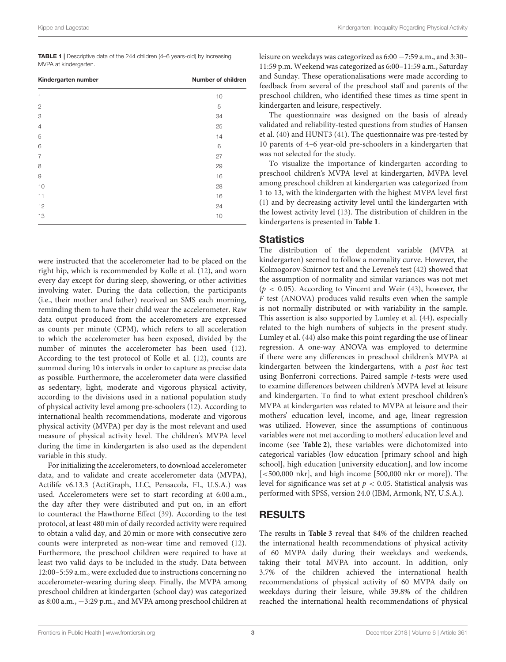<span id="page-2-0"></span>TABLE 1 | Descriptive data of the 244 children (4-6 years-old) by increasing MVPA at kindergarten.

| Kindergarten number | Number of children |
|---------------------|--------------------|
| 1                   | 10                 |
| $\overline{2}$      | 5                  |
| 3                   | 34                 |
| $\overline{4}$      | 25                 |
| 5                   | 14                 |
| 6                   | 6                  |
| $\overline{7}$      | 27                 |
| 8                   | 29                 |
| 9                   | 16                 |
| 10                  | 28                 |
| 11                  | 16                 |
| 12                  | 24                 |
| 13                  | 10                 |
|                     |                    |

were instructed that the accelerometer had to be placed on the right hip, which is recommended by Kolle et al. [\(12\)](#page-7-4), and worn every day except for during sleep, showering, or other activities involving water. During the data collection, the participants (i.e., their mother and father) received an SMS each morning, reminding them to have their child wear the accelerometer. Raw data output produced from the accelerometers are expressed as counts per minute (CPM), which refers to all acceleration to which the accelerometer has been exposed, divided by the number of minutes the accelerometer has been used [\(12\)](#page-7-4). According to the test protocol of Kolle et al. [\(12\)](#page-7-4), counts are summed during 10 s intervals in order to capture as precise data as possible. Furthermore, the accelerometer data were classified as sedentary, light, moderate and vigorous physical activity, according to the divisions used in a national population study of physical activity level among pre-schoolers [\(12\)](#page-7-4). According to international health recommendations, moderate and vigorous physical activity (MVPA) per day is the most relevant and used measure of physical activity level. The children's MVPA level during the time in kindergarten is also used as the dependent variable in this study.

For initializing the accelerometers, to download accelerometer data, and to validate and create accelerometer data (MVPA), Actilife v6.13.3 (ActiGraph, LLC, Pensacola, FL, U.S.A.) was used. Accelerometers were set to start recording at 6:00 a.m., the day after they were distributed and put on, in an effort to counteract the Hawthorne Effect [\(39\)](#page-7-29). According to the test protocol, at least 480 min of daily recorded activity were required to obtain a valid day, and 20 min or more with consecutive zero counts were interpreted as non-wear time and removed [\(12\)](#page-7-4). Furthermore, the preschool children were required to have at least two valid days to be included in the study. Data between 12:00–5:59 a.m., were excluded due to instructions concerning no accelerometer-wearing during sleep. Finally, the MVPA among preschool children at kindergarten (school day) was categorized as 8:00 a.m., −3:29 p.m., and MVPA among preschool children at leisure on weekdays was categorized as 6:00 −7:59 a.m., and 3:30– 11:59 p.m. Weekend was categorized as 6:00–11:59 a.m., Saturday and Sunday. These operationalisations were made according to feedback from several of the preschool staff and parents of the preschool children, who identified these times as time spent in kindergarten and leisure, respectively.

The questionnaire was designed on the basis of already validated and reliability-tested questions from studies of Hansen et al. [\(40\)](#page-7-30) and HUNT3 [\(41\)](#page-7-31). The questionnaire was pre-tested by 10 parents of 4–6 year-old pre-schoolers in a kindergarten that was not selected for the study.

To visualize the importance of kindergarten according to preschool children's MVPA level at kindergarten, MVPA level among preschool children at kindergarten was categorized from 1 to 13, with the kindergarten with the highest MVPA level first [\(1\)](#page-6-0) and by decreasing activity level until the kindergarten with the lowest activity level [\(13\)](#page-7-6). The distribution of children in the kindergartens is presented in **[Table 1](#page-2-0)**.

### **Statistics**

The distribution of the dependent variable (MVPA at kindergarten) seemed to follow a normality curve. However, the Kolmogorov-Smirnov test and the Levene's test [\(42\)](#page-8-0) showed that the assumption of normality and similar variances was not met ( $p < 0.05$ ). According to Vincent and Weir [\(43\)](#page-8-1), however, the F test (ANOVA) produces valid results even when the sample is not normally distributed or with variability in the sample. This assertion is also supported by Lumley et al. [\(44\)](#page-8-2), especially related to the high numbers of subjects in the present study. Lumley et al. [\(44\)](#page-8-2) also make this point regarding the use of linear regression. A one-way ANOVA was employed to determine if there were any differences in preschool children's MVPA at kindergarten between the kindergartens, with a post hoc test using Bonferroni corrections. Paired sample t-tests were used to examine differences between children's MVPA level at leisure and kindergarten. To find to what extent preschool children's MVPA at kindergarten was related to MVPA at leisure and their mothers' education level, income, and age, linear regression was utilized. However, since the assumptions of continuous variables were not met according to mothers' education level and income (see **[Table 2](#page-3-0)**), these variables were dichotomized into categorical variables (low education [primary school and high school], high education [university education], and low income  $[-500,000 \text{ nkr}]$ , and high income  $[500,000 \text{ nkr}$  or more]). The level for significance was set at  $p < 0.05$ . Statistical analysis was performed with SPSS, version 24.0 (IBM, Armonk, NY, U.S.A.).

## RESULTS

The results in **[Table 3](#page-3-1)** reveal that 84% of the children reached the international health recommendations of physical activity of 60 MVPA daily during their weekdays and weekends, taking their total MVPA into account. In addition, only 3.7% of the children achieved the international health recommendations of physical activity of 60 MVPA daily on weekdays during their leisure, while 39.8% of the children reached the international health recommendations of physical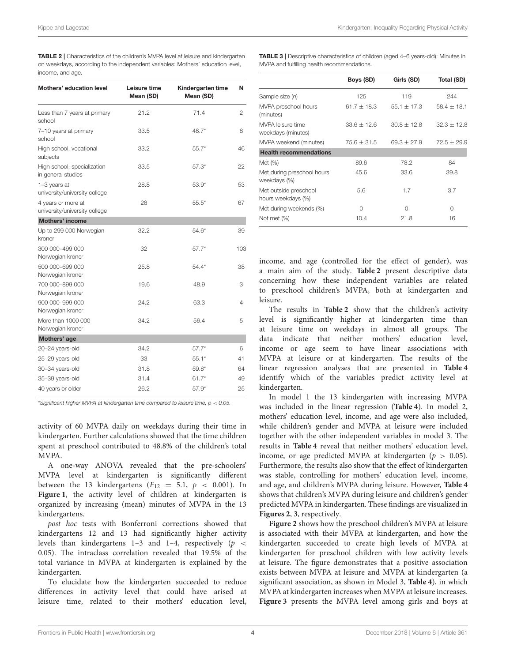<span id="page-3-0"></span>

| <b>TABLE 2</b>   Characteristics of the children's MVPA level at leisure and kindergarten |
|-------------------------------------------------------------------------------------------|
| on weekdays, according to the independent variables: Mothers' education level,            |
| income, and age.                                                                          |

| Mothers' education level                            | Leisure time<br>Mean (SD) | Kindergarten time<br>Mean (SD) | N   |
|-----------------------------------------------------|---------------------------|--------------------------------|-----|
| Less than 7 years at primary<br>school              | 21.2                      | 71.4                           | 2   |
| 7-10 years at primary<br>school                     | 33.5                      | $48.7*$                        | 8   |
| High school, vocational<br>subjects                 | 33.2                      | $55.7*$                        | 46  |
| High school, specialization<br>in general studies   | 33.5                      | $57.3*$                        | 22  |
| 1-3 years at<br>university/university college       | 28.8                      | $53.9*$                        | 53  |
| 4 years or more at<br>university/university college | 28                        | $55.5*$                        | 67  |
| <b>Mothers' income</b>                              |                           |                                |     |
| Up to 299 000 Norwegian<br>kroner                   | 32.2                      | $54.6*$                        | 39  |
| 300 000-499 000<br>Norwegian kroner                 | 32                        | $57.7*$                        | 103 |
| 500 000-699 000<br>Norwegian kroner                 | 25.8                      | $54.4*$                        | 38  |
| 700 000-899 000<br>Norwegian kroner                 | 19.6                      | 48.9                           | 3   |
| 900 000-999 000<br>Norwegian kroner                 | 24.2                      | 63.3                           | 4   |
| More than 1000 000<br>Norwegian kroner              | 34.2                      | 56.4                           | 5   |
| Mothers' age                                        |                           |                                |     |
| 20-24 years-old                                     | 34.2                      | $57.7*$                        | 6   |
| 25-29 years-old                                     | 33                        | $55.1*$                        | 41  |
| 30-34 years-old                                     | 31.8                      | $59.8*$                        | 64  |
| 35-39 years-old                                     | 31.4                      | $61.7*$                        | 49  |
| 40 years or older                                   | 26.2                      | $57.9*$                        | 25  |

\**Significant higher MVPA at kindergarten time compared to leisure time, p* < *0.05.*

activity of 60 MVPA daily on weekdays during their time in kindergarten. Further calculations showed that the time children spent at preschool contributed to 48.8% of the children's total MVPA.

A one-way ANOVA revealed that the pre-schoolers' MVPA level at kindergarten is significantly different between the 13 kindergartens  $(F_{12} = 5.1, p < 0.001)$ . In **[Figure 1](#page-4-0)**, the activity level of children at kindergarten is organized by increasing (mean) minutes of MVPA in the 13 kindergartens.

post hoc tests with Bonferroni corrections showed that kindergartens 12 and 13 had significantly higher activity levels than kindergartens 1–3 and 1–4, respectively ( $p \le$ 0.05). The intraclass correlation revealed that 19.5% of the total variance in MVPA at kindergarten is explained by the kindergarten.

To elucidate how the kindergarten succeeded to reduce differences in activity level that could have arised at leisure time, related to their mothers' education level,

<span id="page-3-1"></span>TABLE 3 | Descriptive characteristics of children (aged 4–6 years-old): Minutes in MVPA and fulfilling health recommendations.

|                                             | Boys (SD)       | Girls (SD)      | Total (SD)    |
|---------------------------------------------|-----------------|-----------------|---------------|
| Sample size (n)                             | 125             | 119             | 244           |
| MVPA preschool hours<br>(minutes)           | $61.7 + 18.3$   | $55.1 + 17.3$   | $58.4 + 18.1$ |
| MVPA leisure time<br>weekdays (minutes)     | $33.6 + 12.6$   | $30.8 + 12.8$   | $32.3 + 12.8$ |
| MVPA weekend (minutes)                      | $75.6 \pm 31.5$ | $69.3 \pm 27.9$ | $72.5 + 29.9$ |
| <b>Health recommendations</b>               |                 |                 |               |
| Met $(\%)$                                  | 89.6            | 78.2            | 84            |
| Met during preschool hours<br>weekdays (%)  | 45.6            | 33.6            | 39.8          |
| Met outside preschool<br>hours weekdays (%) | 5.6             | 1.7             | 3.7           |
| Met during weekends (%)                     | 0               | 0               | $\Omega$      |
| Not met (%)                                 | 10.4            | 21.8            | 16            |

income, and age (controlled for the effect of gender), was a main aim of the study. **[Table 2](#page-3-0)** present descriptive data concerning how these independent variables are related to preschool children's MVPA, both at kindergarten and leisure.

The results in **[Table 2](#page-3-0)** show that the children's activity level is significantly higher at kindergarten time than at leisure time on weekdays in almost all groups. The data indicate that neither mothers' education level, income or age seem to have linear associations with MVPA at leisure or at kindergarten. The results of the linear regression analyses that are presented in **[Table 4](#page-5-0)** identify which of the variables predict activity level at kindergarten.

In model 1 the 13 kindergarten with increasing MVPA was included in the linear regression (**[Table 4](#page-5-0)**). In model 2, mothers' education level, income, and age were also included, while children's gender and MVPA at leisure were included together with the other independent variables in model 3. The results in **[Table 4](#page-5-0)** reveal that neither mothers' education level, income, or age predicted MVPA at kindergarten ( $p > 0.05$ ). Furthermore, the results also show that the effect of kindergarten was stable, controlling for mothers' education level, income, and age, and children's MVPA during leisure. However, **[Table 4](#page-5-0)** shows that children's MVPA during leisure and children's gender predicted MVPA in kindergarten. These findings are visualized in **[Figures 2](#page-5-1)**, **[3](#page-5-2)**, respectively.

**[Figure 2](#page-5-1)** shows how the preschool children's MVPA at leisure is associated with their MVPA at kindergarten, and how the kindergarten succeeded to create high levels of MVPA at kindergarten for preschool children with low activity levels at leisure. The figure demonstrates that a positive association exists between MVPA at leisure and MVPA at kindergarten (a significant association, as shown in Model 3, **[Table 4](#page-5-0)**), in which MVPA at kindergarten increases when MVPA at leisure increases. **[Figure 3](#page-5-2)** presents the MVPA level among girls and boys at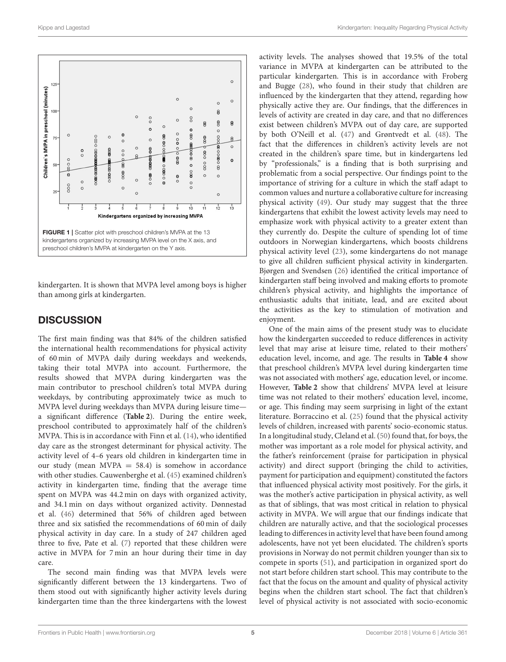

<span id="page-4-0"></span>kindergarten. It is shown that MVPA level among boys is higher than among girls at kindergarten.

## **DISCUSSION**

The first main finding was that 84% of the children satisfied the international health recommendations for physical activity of 60 min of MVPA daily during weekdays and weekends, taking their total MVPA into account. Furthermore, the results showed that MVPA during kindergarten was the main contributor to preschool children's total MVPA during weekdays, by contributing approximately twice as much to MVPA level during weekdays than MVPA during leisure time a significant difference (**[Table 2](#page-3-0)**). During the entire week, preschool contributed to approximately half of the children's MVPA. This is in accordance with Finn et al. [\(14\)](#page-7-14), who identified day care as the strongest determinant for physical activity. The activity level of 4–6 years old children in kindergarten time in our study (mean MVPA  $=$  58.4) is somehow in accordance with other studies. Cauwenberghe et al. [\(45\)](#page-8-3) examined children's activity in kindergarten time, finding that the average time spent on MVPA was 44.2 min on days with organized activity, and 34.1 min on days without organized activity. Dønnestad et al. [\(46\)](#page-8-4) determined that 56% of children aged between three and six satisfied the recommendations of 60 min of daily physical activity in day care. In a study of 247 children aged three to five, Pate et al. [\(7\)](#page-7-5) reported that these children were active in MVPA for 7 min an hour during their time in day care.

The second main finding was that MVPA levels were significantly different between the 13 kindergartens. Two of them stood out with significantly higher activity levels during kindergarten time than the three kindergartens with the lowest activity levels. The analyses showed that 19.5% of the total variance in MVPA at kindergarten can be attributed to the particular kindergarten. This is in accordance with Froberg and Bugge [\(28\)](#page-7-18), who found in their study that children are influenced by the kindergarten that they attend, regarding how physically active they are. Our findings, that the differences in levels of activity are created in day care, and that no differences exist between children's MVPA out of day care, are supported by both O'Neill et al. [\(47\)](#page-8-5) and Grøntvedt et al. [\(48\)](#page-8-6). The fact that the differences in children's activity levels are not created in the children's spare time, but in kindergartens led by "professionals," is a finding that is both surprising and problematic from a social perspective. Our findings point to the importance of striving for a culture in which the staff adapt to common values and nurture a collaborative culture for increasing physical activity [\(49\)](#page-8-7). Our study may suggest that the three kindergartens that exhibit the lowest activity levels may need to emphasize work with physical activity to a greater extent than they currently do. Despite the culture of spending lot of time outdoors in Norwegian kindergartens, which boosts childrens physical activity level [\(23\)](#page-7-13), some kindergartens do not manage to give all children sufficient physical activity in kindergarten. Bjørgen and Svendsen [\(26\)](#page-7-17) identified the critical importance of kindergarten staff being involved and making efforts to promote children's physical activity, and highlights the importance of enthusiastic adults that initiate, lead, and are excited about the activities as the key to stimulation of motivation and enjoyment.

One of the main aims of the present study was to elucidate how the kindergarten succeeded to reduce differences in activity level that may arise at leisure time, related to their mothers' education level, income, and age. The results in **[Table 4](#page-5-0)** show that preschool children's MVPA level during kindergarten time was not associated with mothers' age, education level, or income. However, **[Table 2](#page-3-0)** show that childrens' MVPA level at leisure time was not related to their mothers' education level, income, or age. This finding may seem surprising in light of the extant literature. Borraccino et al. [\(25\)](#page-7-16) found that the physical activity levels of children, increased with parents' socio-economic status. In a longitudinal study, Cleland et al. [\(50\)](#page-8-8) found that, for boys, the mother was important as a role model for physical activity, and the father's reinforcement (praise for participation in physical activity) and direct support (bringing the child to activities, payment for participation and equipment) constituted the factors that influenced physical activity most positively. For the girls, it was the mother's active participation in physical activity, as well as that of siblings, that was most critical in relation to physical activity in MVPA. We will argue that our findings indicate that children are naturally active, and that the sociological processes leading to differences in activity level that have been found among adolescents, have not yet been elucidated. The children's sports provisions in Norway do not permit children younger than six to compete in sports [\(51\)](#page-8-9), and participation in organized sport do not start before children start school. This may contribute to the fact that the focus on the amount and quality of physical activity begins when the children start school. The fact that children's level of physical activity is not associated with socio-economic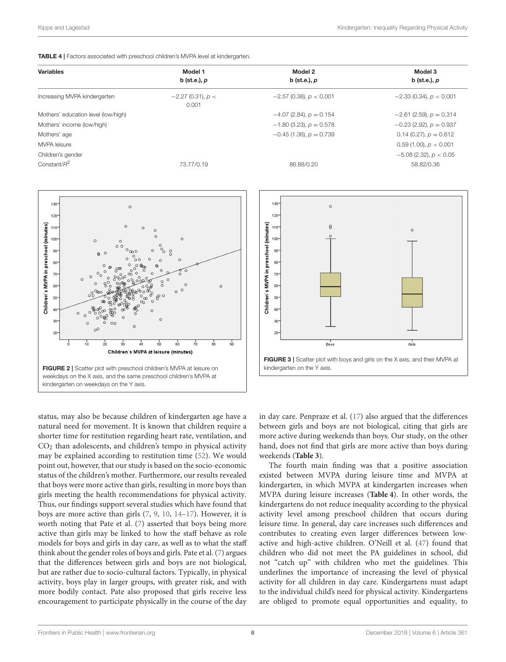<span id="page-5-0"></span>TABLE 4 | Factors associated with preschool children's MVPA level at kindergarten.

| <b>Variables</b>                    | Model 1                        | Model 2                     | Model 3                     |  |
|-------------------------------------|--------------------------------|-----------------------------|-----------------------------|--|
|                                     | $b$ (st.e.), $p$               | $b$ (st.e.), $p$            | $b$ (st.e.), $p$            |  |
| Increasing MVPA kindergarten        | $-2.27$ (0.31), $p <$<br>0.001 | $-2.57$ (0.38), $p < 0.001$ | $-2.33(0.34), p < 0.001$    |  |
| Mothers' education level (low/high) |                                | $-4.07$ (2.84), $p = 0.154$ | $-2.61$ (2.59), $p = 0.314$ |  |
| Mothers' income (low/high)          |                                | $-1.80$ (3.23), $p = 0.578$ | $-0.23$ (2.92), $p = 0.937$ |  |
| Mothers' age                        |                                | $-0.45$ (1.36), $p = 0.739$ | $0.14(0.27), p = 0.612$     |  |
| <b>MVPA</b> leisure                 |                                |                             | 0.59(1.00), p < 0.001       |  |
| Children's gender                   |                                |                             | $-5.08$ (2.32), $p < 0.05$  |  |
| Constant/R <sup>2</sup>             | 73.77/0.19                     | 86.88/0.20                  | 58.82/0.36                  |  |





<span id="page-5-1"></span>status, may also be because children of kindergarten age have a natural need for movement. It is known that children require a shorter time for restitution regarding heart rate, ventilation, and  $CO<sub>2</sub>$  than adolescents, and children's tempo in physical activity may be explained according to restitution time [\(52\)](#page-8-10). We would point out, however, that our study is based on the socio-economic status of the children's mother. Furthermore, our results revealed that boys were more active than girls, resulting in more boys than girls meeting the health recommendations for physical activity. Thus, our findings support several studies which have found that boys are more active than girls [\(7,](#page-7-5) [9,](#page-7-1) [10,](#page-7-2) [14–](#page-7-14)[17\)](#page-7-26). However, it is worth noting that Pate et al. [\(7\)](#page-7-5) asserted that boys being more active than girls may be linked to how the staff behave as role models for boys and girls in day care, as well as to what the staff think about the gender roles of boys and girls. Pate et al. [\(7\)](#page-7-5) argues that the differences between girls and boys are not biological, but are rather due to socio-cultural factors. Typically, in physical activity, boys play in larger groups, with greater risk, and with more bodily contact. Pate also proposed that girls receive less encouragement to participate physically in the course of the day <span id="page-5-2"></span>in day care. Penpraze et al. [\(17\)](#page-7-26) also argued that the differences between girls and boys are not biological, citing that girls are more active during weekends than boys. Our study, on the other hand, does not find that girls are more active than boys during weekends (**[Table 3](#page-3-1)**).

The fourth main finding was that a positive association existed between MVPA during leisure time and MVPA at kindergarten, in which MVPA at kindergarten increases when MVPA during leisure increases (**[Table 4](#page-5-0)**). In other words, the kindergartens do not reduce inequality according to the physical activity level among preschool children that occurs during leisure time. In general, day care increases such differences and contributes to creating even larger differences between lowactive and high-active children. O'Neill et al. [\(47\)](#page-8-5) found that children who did not meet the PA guidelines in school, did not "catch up" with children who met the guidelines. This underlines the importance of increasing the level of physical activity for all children in day care. Kindergartens must adapt to the individual child's need for physical activity. Kindergartens are obliged to promote equal opportunities and equality, to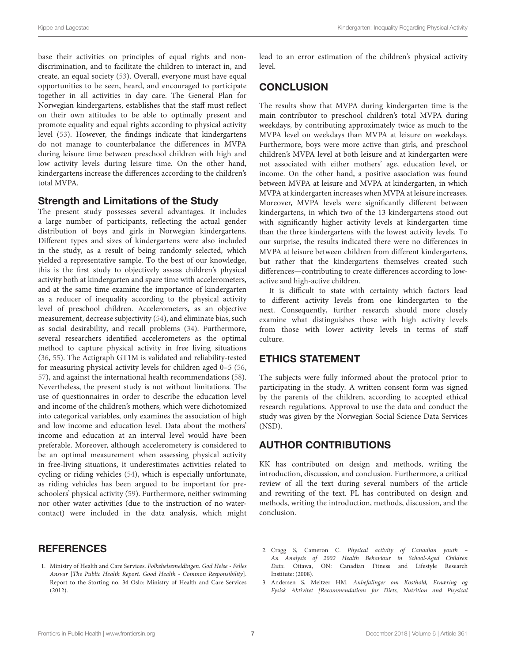base their activities on principles of equal rights and nondiscrimination, and to facilitate the children to interact in, and create, an equal society [\(53\)](#page-8-11). Overall, everyone must have equal opportunities to be seen, heard, and encouraged to participate together in all activities in day care. The General Plan for Norwegian kindergartens, establishes that the staff must reflect on their own attitudes to be able to optimally present and promote equality and equal rights according to physical activity level [\(53\)](#page-8-11). However, the findings indicate that kindergartens do not manage to counterbalance the differences in MVPA during leisure time between preschool children with high and low activity levels during leisure time. On the other hand, kindergartens increase the differences according to the children's total MVPA.

#### Strength and Limitations of the Study

The present study possesses several advantages. It includes a large number of participants, reflecting the actual gender distribution of boys and girls in Norwegian kindergartens. Different types and sizes of kindergartens were also included in the study, as a result of being randomly selected, which yielded a representative sample. To the best of our knowledge, this is the first study to objectively assess children's physical activity both at kindergarten and spare time with accelerometers, and at the same time examine the importance of kindergarten as a reducer of inequality according to the physical activity level of preschool children. Accelerometers, as an objective measurement, decrease subjectivity [\(54\)](#page-8-12), and eliminate bias, such as social desirability, and recall problems [\(34\)](#page-7-24). Furthermore, several researchers identified accelerometers as the optimal method to capture physical activity in free living situations [\(36,](#page-7-25) [55\)](#page-8-13). The Actigraph GT1M is validated and reliability-tested for measuring physical activity levels for children aged 0–5 [\(56,](#page-8-14) [57\)](#page-8-15), and against the international health recommendations [\(58\)](#page-8-16). Nevertheless, the present study is not without limitations. The use of questionnaires in order to describe the education level and income of the children's mothers, which were dichotomized into categorical variables, only examines the association of high and low income and education level. Data about the mothers' income and education at an interval level would have been preferable. Moreover, although accelerometery is considered to be an optimal measurement when assessing physical activity in free-living situations, it underestimates activities related to cycling or riding vehicles [\(54\)](#page-8-12), which is especially unfortunate, as riding vehicles has been argued to be important for preschoolers' physical activity [\(59\)](#page-8-17). Furthermore, neither swimming nor other water activities (due to the instruction of no watercontact) were included in the data analysis, which might

## **REFERENCES**

<span id="page-6-0"></span>1. Ministry of Health and Care Services. Folkehelsemeldingen. God Helse - Felles Ansvar [The Public Health Report. Good Health - Common Responsibility]. Report to the Storting no. 34 Oslo: Ministry of Health and Care Services (2012).

lead to an error estimation of the children's physical activity level.

# **CONCLUSION**

The results show that MVPA during kindergarten time is the main contributor to preschool children's total MVPA during weekdays, by contributing approximately twice as much to the MVPA level on weekdays than MVPA at leisure on weekdays. Furthermore, boys were more active than girls, and preschool children's MVPA level at both leisure and at kindergarten were not associated with either mothers' age, education level, or income. On the other hand, a positive association was found between MVPA at leisure and MVPA at kindergarten, in which MVPA at kindergarten increases when MVPA at leisure increases. Moreover, MVPA levels were significantly different between kindergartens, in which two of the 13 kindergartens stood out with significantly higher activity levels at kindergarten time than the three kindergartens with the lowest activity levels. To our surprise, the results indicated there were no differences in MVPA at leisure between children from different kindergartens, but rather that the kindergartens themselves created such differences—contributing to create differences according to lowactive and high-active children.

It is difficult to state with certainty which factors lead to different activity levels from one kindergarten to the next. Consequently, further research should more closely examine what distinguishes those with high activity levels from those with lower activity levels in terms of staff culture.

## ETHICS STATEMENT

The subjects were fully informed about the protocol prior to participating in the study. A written consent form was signed by the parents of the children, according to accepted ethical research regulations. Approval to use the data and conduct the study was given by the Norwegian Social Science Data Services (NSD).

## AUTHOR CONTRIBUTIONS

KK has contributed on design and methods, writing the introduction, discussion, and conclusion. Furthermore, a critical review of all the text during several numbers of the article and rewriting of the text. PL has contributed on design and methods, writing the introduction, methods, discussion, and the conclusion.

- <span id="page-6-1"></span>2. Cragg S, Cameron C. Physical activity of Canadian youth – An Analysis of 2002 Health Behaviour in School-Aged Children Data. Ottawa, ON: Canadian Fitness and Lifestyle Research Institute: (2008).
- <span id="page-6-2"></span>3. Andersen S, Meltzer HM. Anbefalinger om Kosthold, Ernæring og Fysisk Aktivitet [Recommendations for Diets, Nutrition and Physical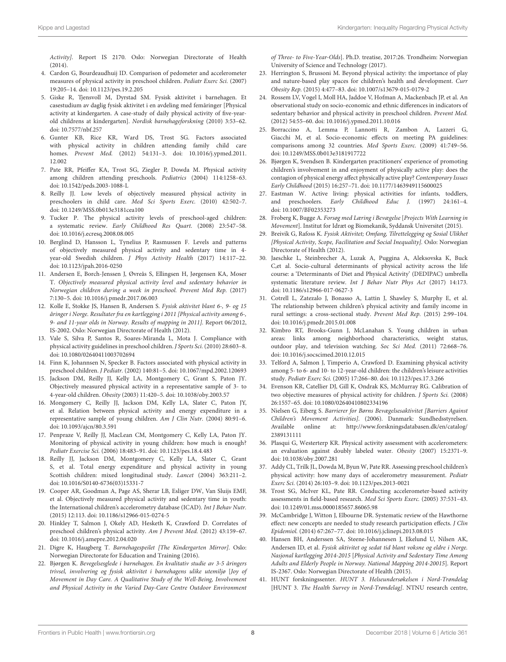Activity]. Report IS 2170. Oslo: Norwegian Directorate of Health  $(2014)$ 

- <span id="page-7-0"></span>4. Cardon G, Bourdeaudhuij ID. Comparison of pedometer and accelerometer measures of physical activity in preschool children. Pediatr Exerc Sci. (2007) 19:205–14. doi: [10.1123/pes.19.2.205](https://doi.org/10.1123/pes.19.2.205)
- 5. Giske R, Tjensvoll M, Dyrstad SM. Fysisk aktivitet i barnehagen. Et casestudium av daglig fysisk aktivitet i en avdeling med femåringer [Physical activity at kindergarten. A case-study of daily physical activity of five-yearold childrens at kindergarten]. Nordisk barnehageforskning (2010) 3:53–62. doi: [10.7577/nbf.257](https://doi.org/10.7577/nbf.257)
- 6. Gunter KB, Rice KR, Ward DS, Trost SG. Factors associated with physical activity in children attending family child care homes. Prevent Med. [\(2012\) 54:131–3. doi: 10.1016/j.ypmed.2011.](https://doi.org/10.1016/j.ypmed.2011.12.002) 12.002
- <span id="page-7-5"></span>7. Pate RR, Pfeiffer KA, Trost SG, Ziegler P, Dowda M. Physical activity among children attending preschools. Pediatrics (2004) 114:1258–63. doi: [10.1542/peds.2003-1088-L](https://doi.org/10.1542/peds.2003-1088-L)
- <span id="page-7-8"></span>8. Reilly JJ. Low levels of objectively measured physical activity in preschoolers in child care. Med Sci Sports Exerc. (2010) 42:502–7. doi: [10.1249/MSS.0b013e3181cea100](https://doi.org/10.1249/MSS.0b013e3181cea100)
- <span id="page-7-1"></span>9. Tucker P. The physical activity levels of preschool-aged children: a systematic review. Early Childhood Res Quart. (2008) 23:547–58. doi: [10.1016/j.ecresq.2008.08.005](https://doi.org/10.1016/j.ecresq.2008.08.005)
- <span id="page-7-2"></span>10. Berglind D, Hansson L, Tynelius P, Rasmussen F. Levels and patterns of objectively measured physical activity and sedentary time in 4 year-old Swedish children. J Phys Activity Health (2017) 14:117–22. doi: [10.1123/jpah.2016-0250](https://doi.org/10.1123/jpah.2016-0250)
- <span id="page-7-3"></span>11. Andersen E, Borch-Jenssen J, Øvreås S, Ellingsen H, Jørgensen KA, Moser T. Objectively measured physical activity level and sedentary behavior in Norwegian children during a week in preschool. Prevent Med Rep. (2017) 7:130–5. doi: [10.1016/j.pmedr.2017.06.003](https://doi.org/10.1016/j.pmedr.2017.06.003)
- <span id="page-7-4"></span>12. Kolle E, Stokke JS, Hansen B, Andersen S. Fysisk aktivitet blant 6-, 9- og 15 åringer i Norge. Resultater fra en kartlegging i 2011 [Physical activity among 6-, 9- and 11-year olds in Norway. Results of mapping in 2011]. Report 06/2012, IS-2002. Oslo: Norwegian Directorate of Health (2012).
- <span id="page-7-6"></span>13. Vale S, Silva P, Santos R, Soares-Miranda L, Mota J. Compliance with physical activity guidelines in preschool children. J Sports Sci. (2010) 28:603–8. doi: [10.1080/02640411003702694](https://doi.org/10.1080/02640411003702694)
- <span id="page-7-14"></span>14. Finn K, Johannsen N, Specker B. Factors associated with physical activity in preschool children. J Pediatr. (2002) 140:81–5. doi: [10.1067/mpd.2002.120693](https://doi.org/10.1067/mpd.2002.120693)
- 15. Jackson DM, Reilly JJ, Kelly LA, Montgomery C, Grant S, Paton JY. Objectively measured physical activity in a representative sample of 3- to 4-year-old children. Obesity (2003) 11:420–5. doi: [10.1038/oby.2003.57](https://doi.org/10.1038/oby.2003.57)
- 16. Mongomery C, Reilly JJ, Jackson DM, Kelly LA, Slater C, Paton JY, et al. Relation between physical activity and energy expenditure in a representative sample of young children. Am J Clin Nutr. (2004) 80:91–6. doi: [10.1093/ajcn/80.3.591](https://doi.org/10.1093/ajcn/80.3.591)
- <span id="page-7-26"></span>17. Penpraze V, Reilly JJ, MacLean CM, Montgomery C, Kelly LA, Paton JY. Monitoring of physical activity in young children: how much is enough? Pediatr Exercise Sci. (2006) 18:483–91. doi: [10.1123/pes.18.4.483](https://doi.org/10.1123/pes.18.4.483)
- <span id="page-7-7"></span>18. Reilly JJ, Jackson DM, Montgomery C, Kelly LA, Slater C, Grant S, et al. Total energy expenditure and physical activity in young Scottish children: mixed longitudinal study. Lancet (2004) 363:211–2. doi: [10.1016/S0140-6736\(03\)15331-7](https://doi.org/10.1016/S0140-6736(03)15331-7)
- <span id="page-7-10"></span>19. Cooper AR, Goodman A, Page AS, Sherar LB, Esliger DW, Van Sluijs EMF, et al. Objectively measured physical activity and sedentary time in youth: the International children's accelerometry database (ICAD). Int J Behav Nutr. (2015) 12:113. doi: [10.1186/s12966-015-0274-5](https://doi.org/10.1186/s12966-015-0274-5)
- <span id="page-7-9"></span>20. Hinkley T, Salmon J, Okely AD, Hesketh K, Crawford D. Correlates of preschool children's physical activity. Am J Prevent Med. (2012) 43:159–67. doi: [10.1016/j.amepre.2012.04.020](https://doi.org/10.1016/j.amepre.2012.04.020)
- <span id="page-7-11"></span>21. Digre K, Haugberg T. Barnehagespeilet [The Kindergarten Mirror]. Oslo: Norwegian Directorate for Education and Training (2016).
- <span id="page-7-12"></span>22. Bjørgen K. Bevegelsesglede i barnehagen. En kvalitativ studie av 3-5 åringers trivsel, involvering og fysisk aktivitet i barnehagens ulike utemiljø [Joy of Movement in Day Care. A Qualitative Study of the Well-Being, Involvement and Physical Activity in the Varied Day-Care Centre Outdoor Environment

of Three- to Five-Year-Olds]. Ph.D. treatise, 2017:26. Trondheim: Norwegian University of Science and Technology (2017).

- <span id="page-7-13"></span>23. Herrington S, Brussoni M. Beyond physical activity: the importance of play and nature-based play spaces for children's health and development. Curr Obesity Rep. (2015) 4:477–83. doi: [10.1007/s13679-015-0179-2](https://doi.org/10.1007/s13679-015-0179-2)
- <span id="page-7-15"></span>24. Rossem LV, Vogel I, Moll HA, Jaddoe V, Hofman A, Mackenbach JP, et al. An observational study on socio-economic and ethnic differences in indicators of sedentary behavior and physical activity in preschool children. Prevent Med. (2012) 54:55–60. doi: [10.1016/j.ypmed.2011.10.016](https://doi.org/10.1016/j.ypmed.2011.10.016)
- <span id="page-7-16"></span>25. Borraccino A, Lemma P, Lannotti R, Zambon A, Lazzeri G, Giacchi M, et al. Socio-economic effects on meeting PA guidelines: comparisons among 32 countries. Med Sports Exerc. (2009) 41:749–56. doi: [10.1249/MSS.0b013e3181917722](https://doi.org/10.1249/MSS.0b013e3181917722)
- <span id="page-7-17"></span>26. Bjørgen K, Svendsen B. Kindergarten practitioners' experience of promoting children's involvement in and enjoyment of physically active play: does the contagion of physical energy affect physically active play? Contemporary Issues Early Childhood (2015) 16:257–71. doi: [10.1177/1463949115600025](https://doi.org/10.1177/1463949115600025)
- 27. Eastman W. Active living: physical activities for infants, toddlers, and preschoolers. Early Childhood Educ J. (1997) 24:161–4. doi: [10.1007/BF02353273](https://doi.org/10.1007/BF02353273)
- <span id="page-7-18"></span>28. Froberg K, Bugge A. Forsøg med Læring i Bevægelse [Projects With Learning in Movement]. Institut for Idræt og Biomekanik, Syddansk Universitet (2015).
- <span id="page-7-19"></span>29. Breivik G, Rafoss K. Fysisk Aktivitet; Omfang, Tilrettelegging og Sosial Ulikhet [Physical Activity, Scope, Facilitation and Social Inequality]. Oslo: Norwegian Directorate of Health (2012).
- <span id="page-7-20"></span>30. Jaeschke L, Steinbrecher A, Luzak A, Puggina A, Aleksovska K, Buck C,et al. Socio-cultural determinants of physical activity across the life course: a 'Determinants of Diet and Physical Activity' (DEDIPAC) umbrella systematic literature review. Int J Behav Nutr Phys Act (2017) 14:173. doi: [10.1186/s12966-017-0627-3](https://doi.org/10.1186/s12966-017-0627-3)
- <span id="page-7-21"></span>31. Cotrell L, Zatezalo J, Bonasso A, Lattin J, Shawley S, Murphy E, et al. The relationship between children's physical activity and family income in rural settings: a cross-sectional study. Prevent Med Rep. (2015) 2:99–104. doi: [10.1016/j.pmedr.2015.01.008](https://doi.org/10.1016/j.pmedr.2015.01.008)
- <span id="page-7-22"></span>32. Kimbro RT, Brooks-Gunn J, McLanahan S. Young children in urban areas: links among neighborhood characteristics, weight status, outdoor play, and television watching. Soc Sci Med. (2011) 72:668–76. doi: [10.1016/j.socscimed.2010.12.015](https://doi.org/10.1016/j.socscimed.2010.12.015)
- <span id="page-7-23"></span>33. Telford A, Salmon J, Timperio A, Crawford D. Examining physical activity among 5- to 6- and 10- to 12-year-old children: the children's leisure activities study. Pediatr Exerc Sci. (2005) 17:266–80. doi: [10.1123/pes.17.3.266](https://doi.org/10.1123/pes.17.3.266)
- <span id="page-7-24"></span>34. Evenson KR, Catellier DJ, Gill K, Ondrak KS, McMurray RG. Calibration of two objective measures of physical activity for children. J Sports Sci. (2008) 26:1557–65. doi: [10.1080/02640410802334196](https://doi.org/10.1080/02640410802334196)
- 35. Nielsen G, Eiberg S. Barrierer for Børns Bevægelsesaktivitet [Barriers Against Children's Movement Activities]. (2006). Danmark: Sundhedsstyrelsen. Available online at: [http://www.forskningsdatabasen.dk/en/catalog/](http://www.forskningsdatabasen.dk/en/catalog/2389131111) [2389131111](http://www.forskningsdatabasen.dk/en/catalog/2389131111)
- <span id="page-7-25"></span>36. Plasqui G, Westerterp KR. Physical activity assessment with accelerometers: an evaluation against doubly labeled water. Obesity (2007) 15:2371–9. doi: [10.1038/oby.2007.281](https://doi.org/10.1038/oby.2007.281)
- <span id="page-7-27"></span>37. Addy CL, Trilk JL, Dowda M, Byun W, Pate RR. Assessing preschool children's physical activity: how many days of accelerometry measurement. Pediatr Exerc Sci. (2014) 26:103–9. doi: [10.1123/pes.2013-0021](https://doi.org/10.1123/pes.2013-0021)
- <span id="page-7-28"></span>38. Trost SG, McIver KL, Pate RR. Conducting accelerometer-based activity assessments in field-based research. Med Sci Sports Exerc. (2005) 37:531–43. doi: [10.1249/01.mss.0000185657.86065.98](https://doi.org/10.1249/01.mss.0000185657.86065.98)
- <span id="page-7-29"></span>39. McCambridge J, Witton J, Elbourne DR. Systematic review of the Hawthorne effect: new concepts are needed to study research participation effects. J Clin Epidemiol. (2014) 67:267–77. doi: [10.1016/j.jclinepi.2013.08.015](https://doi.org/10.1016/j.jclinepi.2013.08.015)
- <span id="page-7-30"></span>40. Hansen BH, Anderssen SA, Steene-Johannesen J, Ekelund U, Nilsen AK, Andersen ID, et al. Fysisk aktivitet og sedat tid blant voksne og eldre i Norge. Nasjonal kartlegging 2014-2015 [Physical Activity and Sedentary Time Among Adults and Elderly People in Norway. National Mapping 2014-20015]. Report IS-2367. Oslo: Norwegian Directorate of Health (2015).
- <span id="page-7-31"></span>41. HUNT forskningssenter. HUNT 3. Helseundersøkelsen i Nord-Trøndelag [HUNT 3. The Health Survey in Nord-Trøndelag]. NTNU research centre,